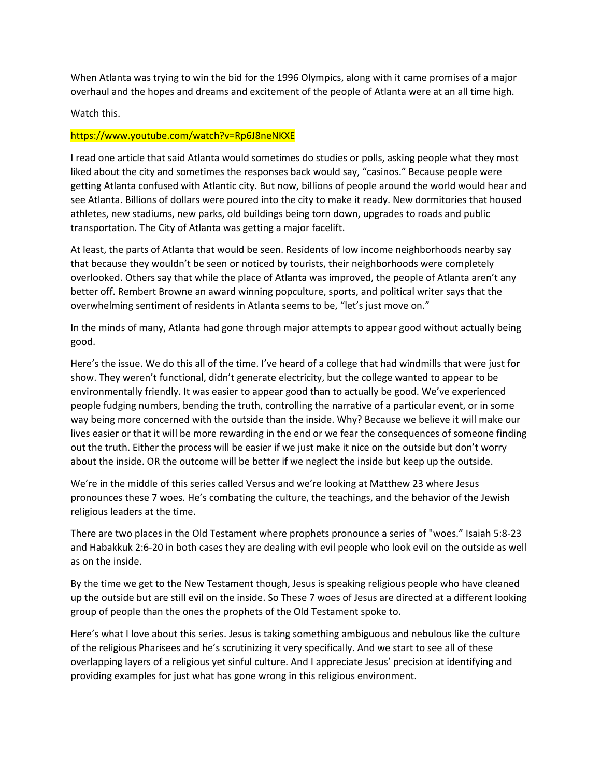When Atlanta was trying to win the bid for the 1996 Olympics, along with it came promises of a major overhaul and the hopes and dreams and excitement of the people of Atlanta were at an all time high.

## Watch this.

### https://www.youtube.com/watch?v=Rp6J8neNKXE

I read one article that said Atlanta would sometimes do studies or polls, asking people what they most liked about the city and sometimes the responses back would say, "casinos." Because people were getting Atlanta confused with Atlantic city. But now, billions of people around the world would hear and see Atlanta. Billions of dollars were poured into the city to make it ready. New dormitories that housed athletes, new stadiums, new parks, old buildings being torn down, upgrades to roads and public transportation. The City of Atlanta was getting a major facelift.

At least, the parts of Atlanta that would be seen. Residents of low income neighborhoods nearby say that because they wouldn't be seen or noticed by tourists, their neighborhoods were completely overlooked. Others say that while the place of Atlanta was improved, the people of Atlanta aren't any better off. Rembert Browne an award winning popculture, sports, and political writer says that the overwhelming sentiment of residents in Atlanta seems to be, "let's just move on."

In the minds of many, Atlanta had gone through major attempts to appear good without actually being good.

Here's the issue. We do this all of the time. I've heard of a college that had windmills that were just for show. They weren't functional, didn't generate electricity, but the college wanted to appear to be environmentally friendly. It was easier to appear good than to actually be good. We've experienced people fudging numbers, bending the truth, controlling the narrative of a particular event, or in some way being more concerned with the outside than the inside. Why? Because we believe it will make our lives easier or that it will be more rewarding in the end or we fear the consequences of someone finding out the truth. Either the process will be easier if we just make it nice on the outside but don't worry about the inside. OR the outcome will be better if we neglect the inside but keep up the outside.

We're in the middle of this series called Versus and we're looking at Matthew 23 where Jesus pronounces these 7 woes. He's combating the culture, the teachings, and the behavior of the Jewish religious leaders at the time.

There are two places in the Old Testament where prophets pronounce a series of "woes." Isaiah 5:8-23 and Habakkuk 2:6-20 in both cases they are dealing with evil people who look evil on the outside as well as on the inside.

By the time we get to the New Testament though, Jesus is speaking religious people who have cleaned up the outside but are still evil on the inside. So These 7 woes of Jesus are directed at a different looking group of people than the ones the prophets of the Old Testament spoke to.

Here's what I love about this series. Jesus is taking something ambiguous and nebulous like the culture of the religious Pharisees and he's scrutinizing it very specifically. And we start to see all of these overlapping layers of a religious yet sinful culture. And I appreciate Jesus' precision at identifying and providing examples for just what has gone wrong in this religious environment.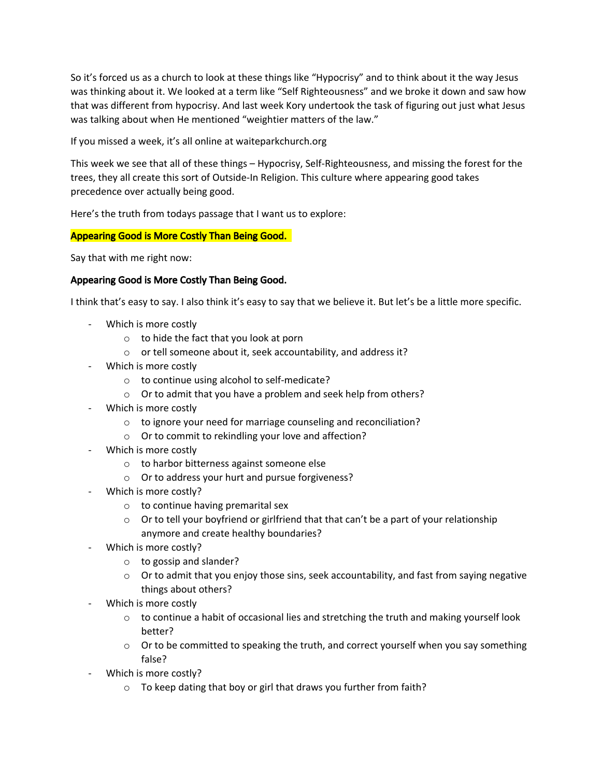So it's forced us as a church to look at these things like "Hypocrisy" and to think about it the way Jesus was thinking about it. We looked at a term like "Self Righteousness" and we broke it down and saw how that was different from hypocrisy. And last week Kory undertook the task of figuring out just what Jesus was talking about when He mentioned "weightier matters of the law."

If you missed a week, it's all online at waiteparkchurch.org

This week we see that all of these things – Hypocrisy, Self-Righteousness, and missing the forest for the trees, they all create this sort of Outside-In Religion. This culture where appearing good takes precedence over actually being good.

Here's the truth from todays passage that I want us to explore:

## Appearing Good is More Costly Than Being Good.

Say that with me right now:

## Appearing Good is More Costly Than Being Good.

I think that's easy to say. I also think it's easy to say that we believe it. But let's be a little more specific.

- Which is more costly
	- $\circ$  to hide the fact that you look at porn
	- o or tell someone about it, seek accountability, and address it?
- Which is more costly
	- o to continue using alcohol to self-medicate?
	- o Or to admit that you have a problem and seek help from others?
- Which is more costly
	- o to ignore your need for marriage counseling and reconciliation?
	- o Or to commit to rekindling your love and affection?
- Which is more costly
	- o to harbor bitterness against someone else
	- o Or to address your hurt and pursue forgiveness?
- Which is more costly?
	- o to continue having premarital sex
	- $\circ$  Or to tell your boyfriend or girlfriend that that can't be a part of your relationship anymore and create healthy boundaries?
- Which is more costly?
	- o to gossip and slander?
	- $\circ$  Or to admit that you enjoy those sins, seek accountability, and fast from saying negative things about others?
- Which is more costly
	- $\circ$  to continue a habit of occasional lies and stretching the truth and making yourself look better?
	- $\circ$  Or to be committed to speaking the truth, and correct yourself when you say something false?
- Which is more costly?
	- o To keep dating that boy or girl that draws you further from faith?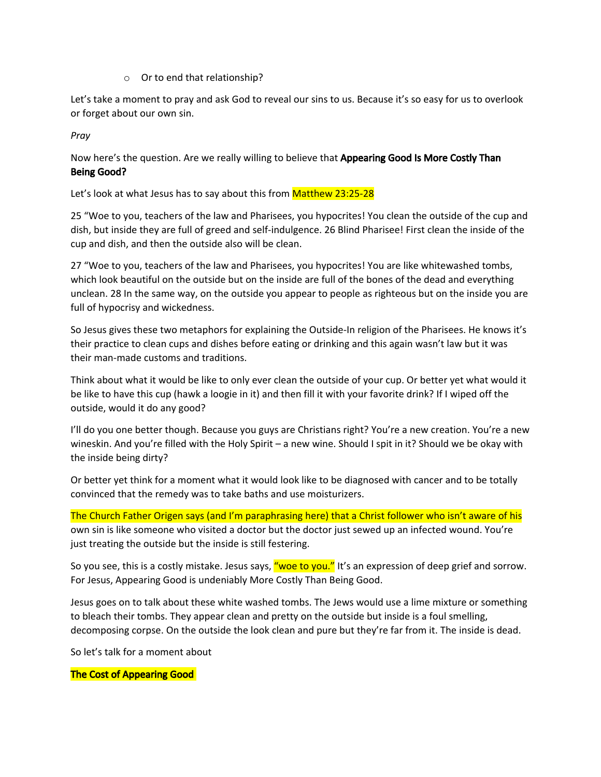## o Or to end that relationship?

Let's take a moment to pray and ask God to reveal our sins to us. Because it's so easy for us to overlook or forget about our own sin.

*Pray*

# Now here's the question. Are we really willing to believe that **Appearing Good Is More Costly Than** Being Good?

Let's look at what Jesus has to say about this from Matthew 23:25-28

25 "Woe to you, teachers of the law and Pharisees, you hypocrites! You clean the outside of the cup and dish, but inside they are full of greed and self-indulgence. 26 Blind Pharisee! First clean the inside of the cup and dish, and then the outside also will be clean.

27 "Woe to you, teachers of the law and Pharisees, you hypocrites! You are like whitewashed tombs, which look beautiful on the outside but on the inside are full of the bones of the dead and everything unclean. 28 In the same way, on the outside you appear to people as righteous but on the inside you are full of hypocrisy and wickedness.

So Jesus gives these two metaphors for explaining the Outside-In religion of the Pharisees. He knows it's their practice to clean cups and dishes before eating or drinking and this again wasn't law but it was their man-made customs and traditions.

Think about what it would be like to only ever clean the outside of your cup. Or better yet what would it be like to have this cup (hawk a loogie in it) and then fill it with your favorite drink? If I wiped off the outside, would it do any good?

I'll do you one better though. Because you guys are Christians right? You're a new creation. You're a new wineskin. And you're filled with the Holy Spirit – a new wine. Should I spit in it? Should we be okay with the inside being dirty?

Or better yet think for a moment what it would look like to be diagnosed with cancer and to be totally convinced that the remedy was to take baths and use moisturizers.

The Church Father Origen says (and I'm paraphrasing here) that a Christ follower who isn't aware of his own sin is like someone who visited a doctor but the doctor just sewed up an infected wound. You're just treating the outside but the inside is still festering.

So you see, this is a costly mistake. Jesus says, "woe to you." It's an expression of deep grief and sorrow. For Jesus, Appearing Good is undeniably More Costly Than Being Good.

Jesus goes on to talk about these white washed tombs. The Jews would use a lime mixture or something to bleach their tombs. They appear clean and pretty on the outside but inside is a foul smelling, decomposing corpse. On the outside the look clean and pure but they're far from it. The inside is dead.

So let's talk for a moment about

## The Cost of Appearing Good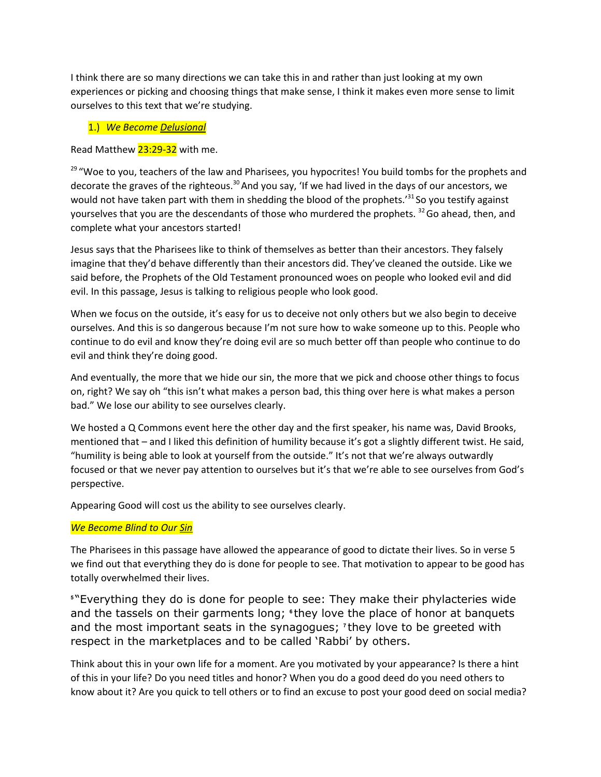I think there are so many directions we can take this in and rather than just looking at my own experiences or picking and choosing things that make sense, I think it makes even more sense to limit ourselves to this text that we're studying.

## 1.) *We Become Delusional*

Read Matthew 23:29-32 with me.

<sup>29</sup> "Woe to you, teachers of the law and Pharisees, you hypocrites! You build tombs for the prophets and decorate the graves of the righteous.<sup>30</sup> And you say, 'If we had lived in the days of our ancestors, we would not have taken part with them in shedding the blood of the prophets.'<sup>31</sup> So you testify against yourselves that you are the descendants of those who murdered the prophets. <sup>32</sup> Go ahead, then, and complete what your ancestors started!

Jesus says that the Pharisees like to think of themselves as better than their ancestors. They falsely imagine that they'd behave differently than their ancestors did. They've cleaned the outside. Like we said before, the Prophets of the Old Testament pronounced woes on people who looked evil and did evil. In this passage, Jesus is talking to religious people who look good.

When we focus on the outside, it's easy for us to deceive not only others but we also begin to deceive ourselves. And this is so dangerous because I'm not sure how to wake someone up to this. People who continue to do evil and know they're doing evil are so much better off than people who continue to do evil and think they're doing good.

And eventually, the more that we hide our sin, the more that we pick and choose other things to focus on, right? We say oh "this isn't what makes a person bad, this thing over here is what makes a person bad." We lose our ability to see ourselves clearly.

We hosted a Q Commons event here the other day and the first speaker, his name was, David Brooks, mentioned that – and I liked this definition of humility because it's got a slightly different twist. He said, "humility is being able to look at yourself from the outside." It's not that we're always outwardly focused or that we never pay attention to ourselves but it's that we're able to see ourselves from God's perspective.

Appearing Good will cost us the ability to see ourselves clearly.

# *We Become Blind to Our Sin*

The Pharisees in this passage have allowed the appearance of good to dictate their lives. So in verse 5 we find out that everything they do is done for people to see. That motivation to appear to be good has totally overwhelmed their lives.

**<sup>5</sup>** "Everything they do is done for people to see: They make their phylacteries wide and the tassels on their garments long; <sup>e</sup>they love the place of honor at banquets and the most important seats in the synagogues; **<sup>7</sup>** they love to be greeted with respect in the marketplaces and to be called 'Rabbi' by others.

Think about this in your own life for a moment. Are you motivated by your appearance? Is there a hint of this in your life? Do you need titles and honor? When you do a good deed do you need others to know about it? Are you quick to tell others or to find an excuse to post your good deed on social media?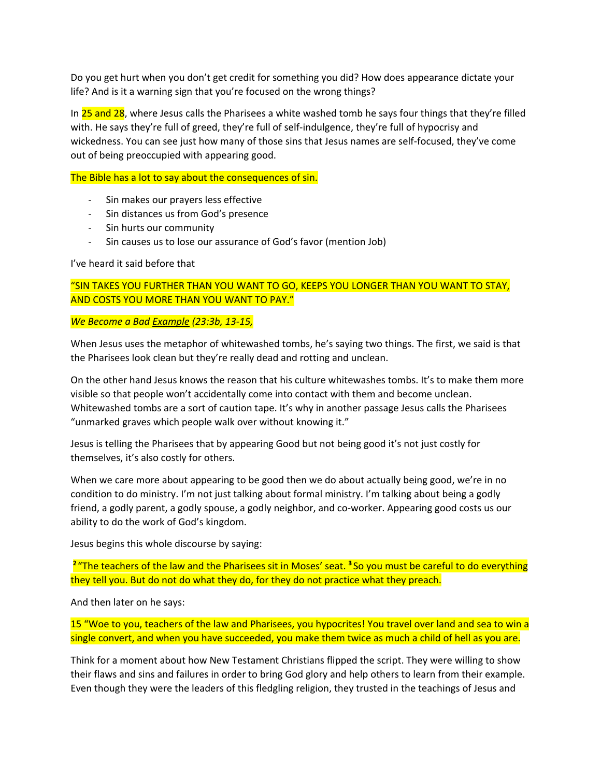Do you get hurt when you don't get credit for something you did? How does appearance dictate your life? And is it a warning sign that you're focused on the wrong things?

In 25 and 28, where Jesus calls the Pharisees a white washed tomb he says four things that they're filled with. He says they're full of greed, they're full of self-indulgence, they're full of hypocrisy and wickedness. You can see just how many of those sins that Jesus names are self-focused, they've come out of being preoccupied with appearing good.

The Bible has a lot to say about the consequences of sin.

- Sin makes our prayers less effective
- Sin distances us from God's presence
- Sin hurts our community
- Sin causes us to lose our assurance of God's favor (mention Job)

### I've heard it said before that

"SIN TAKES YOU FURTHER THAN YOU WANT TO GO, KEEPS YOU LONGER THAN YOU WANT TO STAY, AND COSTS YOU MORE THAN YOU WANT TO PAY."

*We Become a Bad Example (23:3b, 13-15,*

When Jesus uses the metaphor of whitewashed tombs, he's saying two things. The first, we said is that the Pharisees look clean but they're really dead and rotting and unclean.

On the other hand Jesus knows the reason that his culture whitewashes tombs. It's to make them more visible so that people won't accidentally come into contact with them and become unclean. Whitewashed tombs are a sort of caution tape. It's why in another passage Jesus calls the Pharisees "unmarked graves which people walk over without knowing it."

Jesus is telling the Pharisees that by appearing Good but not being good it's not just costly for themselves, it's also costly for others.

When we care more about appearing to be good then we do about actually being good, we're in no condition to do ministry. I'm not just talking about formal ministry. I'm talking about being a godly friend, a godly parent, a godly spouse, a godly neighbor, and co-worker. Appearing good costs us our ability to do the work of God's kingdom.

Jesus begins this whole discourse by saying:

<sup>2</sup> "The teachers of the law and the Pharisees sit in Moses' seat. <sup>3</sup> So you must be careful to do everything they tell you. But do not do what they do, for they do not practice what they preach.

And then later on he says:

15 "Woe to you, teachers of the law and Pharisees, you hypocrites! You travel over land and sea to win a single convert, and when you have succeeded, you make them twice as much a child of hell as you are.

Think for a moment about how New Testament Christians flipped the script. They were willing to show their flaws and sins and failures in order to bring God glory and help others to learn from their example. Even though they were the leaders of this fledgling religion, they trusted in the teachings of Jesus and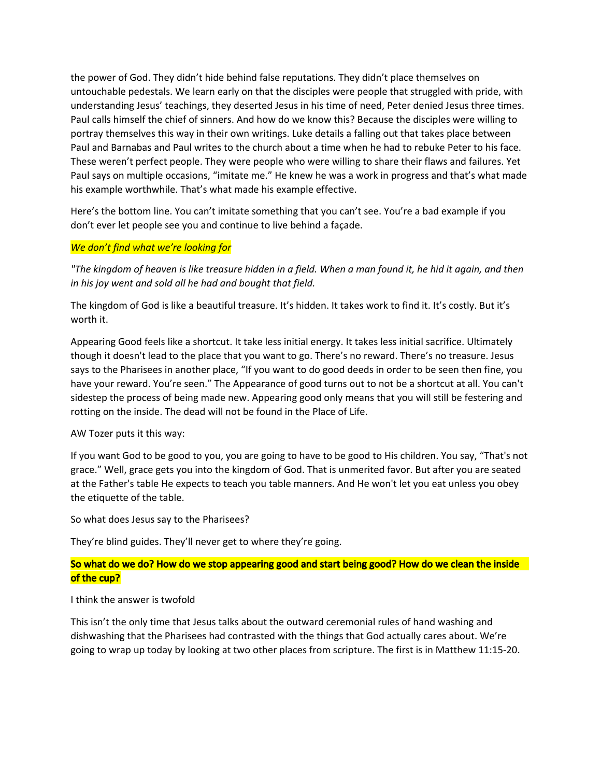the power of God. They didn't hide behind false reputations. They didn't place themselves on untouchable pedestals. We learn early on that the disciples were people that struggled with pride, with understanding Jesus' teachings, they deserted Jesus in his time of need, Peter denied Jesus three times. Paul calls himself the chief of sinners. And how do we know this? Because the disciples were willing to portray themselves this way in their own writings. Luke details a falling out that takes place between Paul and Barnabas and Paul writes to the church about a time when he had to rebuke Peter to his face. These weren't perfect people. They were people who were willing to share their flaws and failures. Yet Paul says on multiple occasions, "imitate me." He knew he was a work in progress and that's what made his example worthwhile. That's what made his example effective.

Here's the bottom line. You can't imitate something that you can't see. You're a bad example if you don't ever let people see you and continue to live behind a façade.

## *We don't find what we're looking for*

"The kingdom of heaven is like treasure hidden in a field. When a man found it, he hid it again, and then *in his joy went and sold all he had and bought that field.*

The kingdom of God is like a beautiful treasure. It's hidden. It takes work to find it. It's costly. But it's worth it.

Appearing Good feels like a shortcut. It take less initial energy. It takes less initial sacrifice. Ultimately though it doesn't lead to the place that you want to go. There's no reward. There's no treasure. Jesus says to the Pharisees in another place, "If you want to do good deeds in order to be seen then fine, you have your reward. You're seen." The Appearance of good turns out to not be a shortcut at all. You can't sidestep the process of being made new. Appearing good only means that you will still be festering and rotting on the inside. The dead will not be found in the Place of Life.

AW Tozer puts it this way:

If you want God to be good to you, you are going to have to be good to His children. You say, "That's not grace." Well, grace gets you into the kingdom of God. That is unmerited favor. But after you are seated at the Father's table He expects to teach you table manners. And He won't let you eat unless you obey the etiquette of the table.

So what does Jesus say to the Pharisees?

They're blind guides. They'll never get to where they're going.

# So what do we do? How do we stop appearing good and start being good? How do we clean the inside of the cup?

### I think the answer is twofold

This isn't the only time that Jesus talks about the outward ceremonial rules of hand washing and dishwashing that the Pharisees had contrasted with the things that God actually cares about. We're going to wrap up today by looking at two other places from scripture. The first is in Matthew 11:15-20.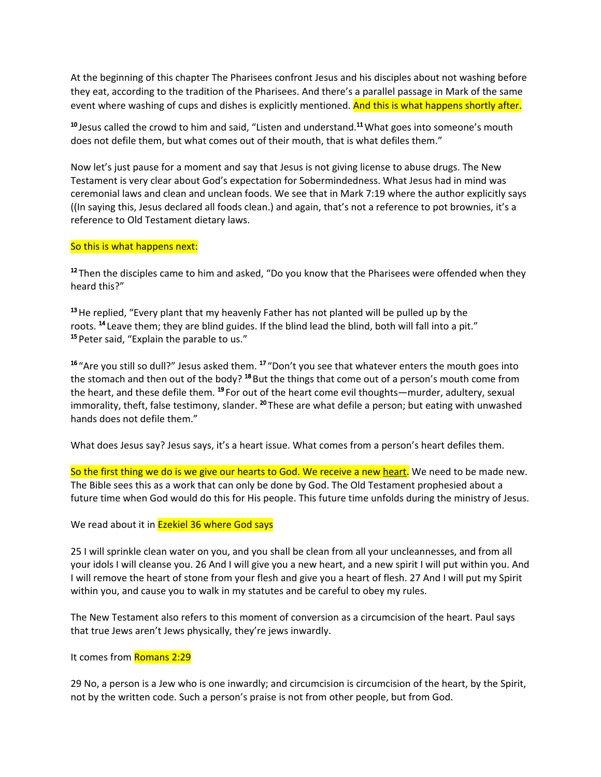At the beginning of this chapter The Pharisees confront Jesus and his disciples about not washing before they eat, according to the tradition of the Pharisees. And there's a parallel passage in Mark of the same event where washing of cups and dishes is explicitly mentioned. And this is what happens shortly after.

<sup>10</sup> Jesus called the crowd to him and said, "Listen and understand.<sup>11</sup> What goes into someone's mouth does not defile them, but what comes out of their mouth, that is what defiles them."

Now let's just pause for a moment and say that Jesus is not giving license to abuse drugs. The New Testament is very clear about God's expectation for Sobermindedness. What Jesus had in mind was ceremonial laws and clean and unclean foods. We see that in Mark 7:19 where the author explicitly says ((In saying this, Jesus declared all foods clean.) and again, that's not a reference to pot brownies, it's a reference to Old Testament dietary laws.

## So this is what happens next:

<sup>12</sup> Then the disciples came to him and asked, "Do you know that the Pharisees were offended when they heard this?"

 $13$  He replied, "Every plant that my heavenly Father has not planted will be pulled up by the roots. <sup>14</sup> Leave them; they are blind guides. If the blind lead the blind, both will fall into a pit." <sup>15</sup> Peter said, "Explain the parable to us."

<sup>16</sup> "Are you still so dull?" Jesus asked them. <sup>17</sup> "Don't you see that whatever enters the mouth goes into the stomach and then out of the body? <sup>18</sup> But the things that come out of a person's mouth come from the heart, and these defile them. <sup>19</sup> For out of the heart come evil thoughts—murder, adultery, sexual immorality, theft, false testimony, slander. <sup>20</sup> These are what defile a person; but eating with unwashed hands does not defile them."

What does Jesus say? Jesus says, it's a heart issue. What comes from a person's heart defiles them.

So the first thing we do is we give our hearts to God. We receive a new heart. We need to be made new. The Bible sees this as a work that can only be done by God. The Old Testament prophesied about a future time when God would do this for His people. This future time unfolds during the ministry of Jesus.

## We read about it in **Ezekiel 36 where God says**

25 I will sprinkle clean water on you, and you shall be clean from all your uncleannesses, and from all your idols I will cleanse you. 26 And I will give you a new heart, and a new spirit I will put within you. And I will remove the heart of stone from your flesh and give you a heart of flesh. 27 And I will put my Spirit within you, and cause you to walk in my statutes and be careful to obey my rules.

The New Testament also refers to this moment of conversion as a circumcision of the heart. Paul says that true Jews aren't Jews physically, they're jews inwardly.

### It comes from Romans 2:29

29 No, a person is a Jew who is one inwardly; and circumcision is circumcision of the heart, by the Spirit, not by the written code. Such a person's praise is not from other people, but from God.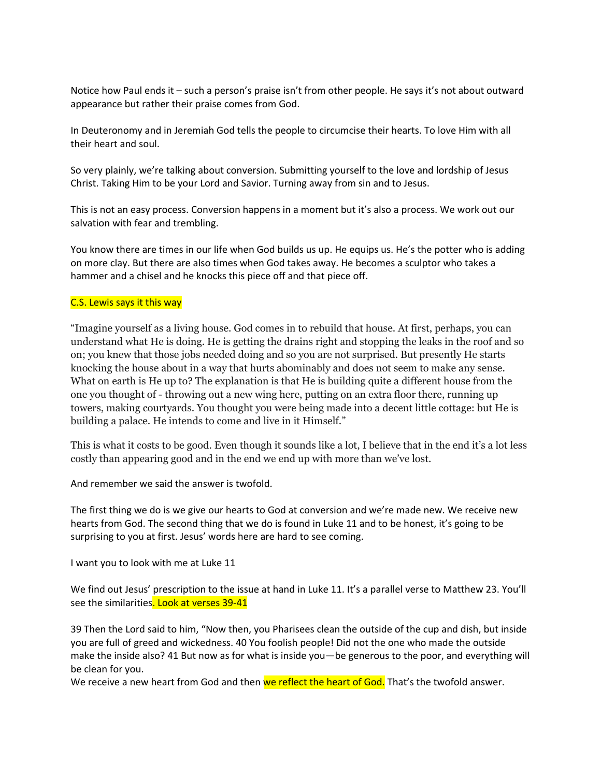Notice how Paul ends it – such a person's praise isn't from other people. He says it's not about outward appearance but rather their praise comes from God.

In Deuteronomy and in Jeremiah God tells the people to circumcise their hearts. To love Him with all their heart and soul.

So very plainly, we're talking about conversion. Submitting yourself to the love and lordship of Jesus Christ. Taking Him to be your Lord and Savior. Turning away from sin and to Jesus.

This is not an easy process. Conversion happens in a moment but it's also a process. We work out our salvation with fear and trembling.

You know there are times in our life when God builds us up. He equips us. He's the potter who is adding on more clay. But there are also times when God takes away. He becomes a sculptor who takes a hammer and a chisel and he knocks this piece off and that piece off.

## C.S. Lewis says it this way

"Imagine yourself as a living house. God comes in to rebuild that house. At first, perhaps, you can understand what He is doing. He is getting the drains right and stopping the leaks in the roof and so on; you knew that those jobs needed doing and so you are not surprised. But presently He starts knocking the house about in a way that hurts abominably and does not seem to make any sense. What on earth is He up to? The explanation is that He is building quite a different house from the one you thought of - throwing out a new wing here, putting on an extra floor there, running up towers, making courtyards. You thought you were being made into a decent little cottage: but He is building a palace. He intends to come and live in it Himself."

This is what it costs to be good. Even though it sounds like a lot, I believe that in the end it's a lot less costly than appearing good and in the end we end up with more than we've lost.

And remember we said the answer is twofold.

The first thing we do is we give our hearts to God at conversion and we're made new. We receive new hearts from God. The second thing that we do is found in Luke 11 and to be honest, it's going to be surprising to you at first. Jesus' words here are hard to see coming.

I want you to look with me at Luke 11

We find out Jesus' prescription to the issue at hand in Luke 11. It's a parallel verse to Matthew 23. You'll see the similarities. Look at verses 39-41

39 Then the Lord said to him, "Now then, you Pharisees clean the outside of the cup and dish, but inside you are full of greed and wickedness. 40 You foolish people! Did not the one who made the outside make the inside also? 41 But now as for what is inside you—be generous to the poor, and everything will be clean for you.

We receive a new heart from God and then we reflect the heart of God. That's the twofold answer.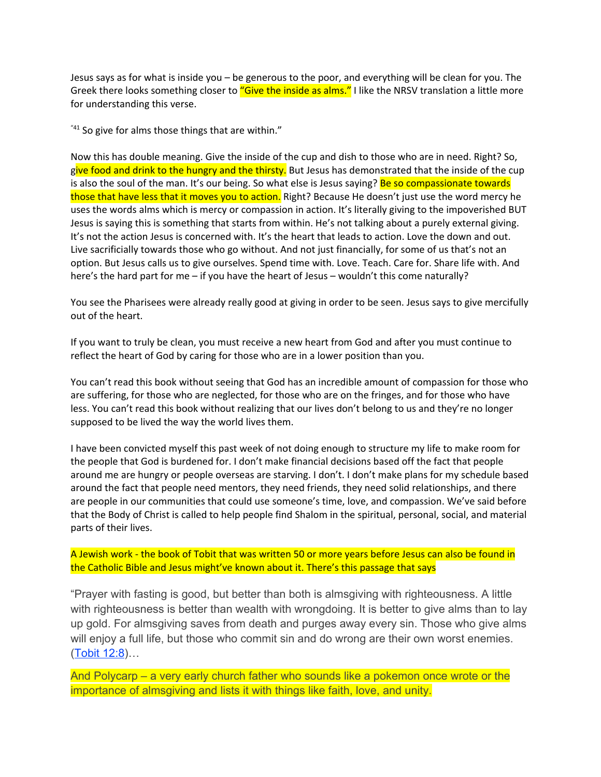Jesus says as for what is inside you – be generous to the poor, and everything will be clean for you. The Greek there looks something closer to "Give the inside as alms." I like the NRSV translation a little more for understanding this verse.

 $141$  So give for alms those things that are within."

Now this has double meaning. Give the inside of the cup and dish to those who are in need. Right? So, give food and drink to the hungry and the thirsty. But Jesus has demonstrated that the inside of the cup is also the soul of the man. It's our being. So what else is Jesus saying? Be so compassionate towards those that have less that it moves you to action. Right? Because He doesn't just use the word mercy he uses the words alms which is mercy or compassion in action. It's literally giving to the impoverished BUT Jesus is saying this is something that starts from within. He's not talking about a purely external giving. It's not the action Jesus is concerned with. It's the heart that leads to action. Love the down and out. Live sacrificially towards those who go without. And not just financially, for some of us that's not an option. But Jesus calls us to give ourselves. Spend time with. Love. Teach. Care for. Share life with. And here's the hard part for me – if you have the heart of Jesus – wouldn't this come naturally?

You see the Pharisees were already really good at giving in order to be seen. Jesus says to give mercifully out of the heart.

If you want to truly be clean, you must receive a new heart from God and after you must continue to reflect the heart of God by caring for those who are in a lower position than you.

You can't read this book without seeing that God has an incredible amount of compassion for those who are suffering, for those who are neglected, for those who are on the fringes, and for those who have less. You can't read this book without realizing that our lives don't belong to us and they're no longer supposed to be lived the way the world lives them.

I have been convicted myself this past week of not doing enough to structure my life to make room for the people that God is burdened for. I don't make financial decisions based off the fact that people around me are hungry or people overseas are starving. I don't. I don't make plans for my schedule based around the fact that people need mentors, they need friends, they need solid relationships, and there are people in our communities that could use someone's time, love, and compassion. We've said before that the Body of Christ is called to help people find Shalom in the spiritual, personal, social, and material parts of their lives.

A Jewish work - the book of Tobit that was written 50 or more years before Jesus can also be found in the Catholic Bible and Jesus might've known about it. There's this passage that says

"Prayer with fasting is good, but better than both is almsgiving with righteousness. A little with righteousness is better than wealth with wrongdoing. It is better to give alms than to lay up gold. For almsgiving saves from death and purges away every sin. Those who give alms will enjoy a full life, but those who commit sin and do wrong are their own worst enemies. ([Tobit](https://biblia.com/bible/nasb95/Tobit%2012.8) 12:8)…

And Polycarp – a very early church father who sounds like a pokemon once wrote or the importance of almsgiving and lists it with things like faith, love, and unity.